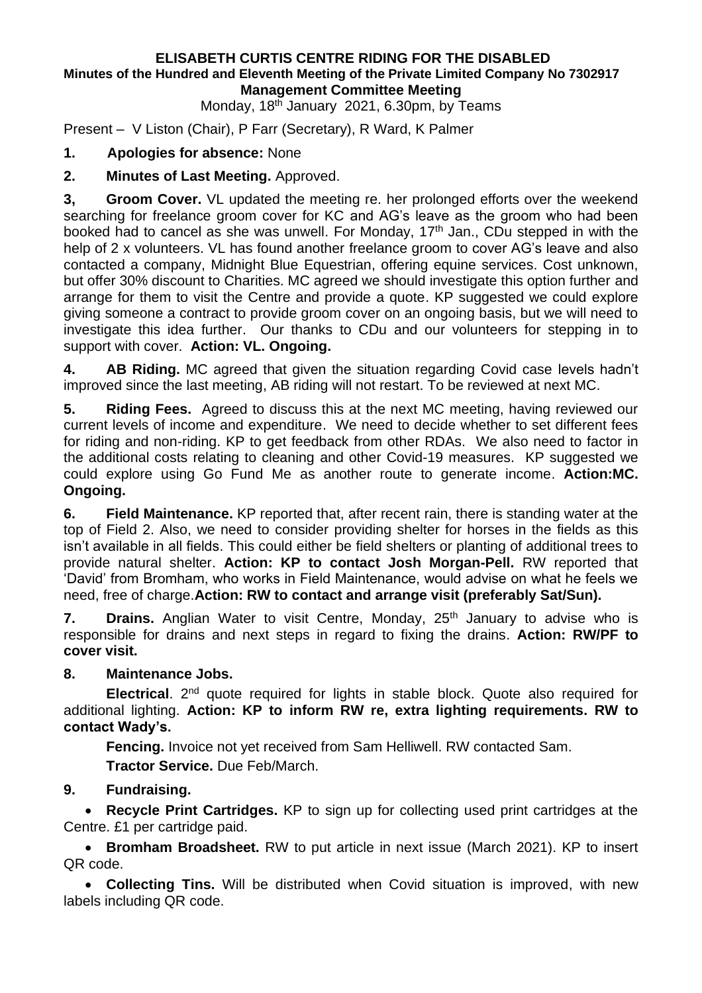#### **ELISABETH CURTIS CENTRE RIDING FOR THE DISABLED Minutes of the Hundred and Eleventh Meeting of the Private Limited Company No 7302917 Management Committee Meeting**

Monday, 18<sup>th</sup> January 2021, 6.30pm, by Teams

Present – V Liston (Chair), P Farr (Secretary), R Ward, K Palmer

# **1. Apologies for absence:** None

## **2. Minutes of Last Meeting.** Approved.

**3, Groom Cover.** VL updated the meeting re. her prolonged efforts over the weekend searching for freelance groom cover for KC and AG's leave as the groom who had been booked had to cancel as she was unwell. For Monday, 17<sup>th</sup> Jan., CDu stepped in with the help of 2 x volunteers. VL has found another freelance groom to cover AG's leave and also contacted a company, Midnight Blue Equestrian, offering equine services. Cost unknown, but offer 30% discount to Charities. MC agreed we should investigate this option further and arrange for them to visit the Centre and provide a quote. KP suggested we could explore giving someone a contract to provide groom cover on an ongoing basis, but we will need to investigate this idea further. Our thanks to CDu and our volunteers for stepping in to support with cover. **Action: VL. Ongoing.**

**4. AB Riding.** MC agreed that given the situation regarding Covid case levels hadn't improved since the last meeting, AB riding will not restart. To be reviewed at next MC.

**5. Riding Fees.** Agreed to discuss this at the next MC meeting, having reviewed our current levels of income and expenditure. We need to decide whether to set different fees for riding and non-riding. KP to get feedback from other RDAs. We also need to factor in the additional costs relating to cleaning and other Covid-19 measures. KP suggested we could explore using Go Fund Me as another route to generate income. **Action:MC. Ongoing.**

**6. Field Maintenance.** KP reported that, after recent rain, there is standing water at the top of Field 2. Also, we need to consider providing shelter for horses in the fields as this isn't available in all fields. This could either be field shelters or planting of additional trees to provide natural shelter. **Action: KP to contact Josh Morgan-Pell.** RW reported that 'David' from Bromham, who works in Field Maintenance, would advise on what he feels we need, free of charge.**Action: RW to contact and arrange visit (preferably Sat/Sun).**

**7. Drains.** Anglian Water to visit Centre, Monday, 25<sup>th</sup> January to advise who is responsible for drains and next steps in regard to fixing the drains. **Action: RW/PF to cover visit.**

### **8. Maintenance Jobs.**

**Electrical**. 2nd quote required for lights in stable block. Quote also required for additional lighting. **Action: KP to inform RW re, extra lighting requirements. RW to contact Wady's.**

**Fencing.** Invoice not yet received from Sam Helliwell. RW contacted Sam.

**Tractor Service.** Due Feb/March.

# **9. Fundraising.**

• **Recycle Print Cartridges.** KP to sign up for collecting used print cartridges at the Centre. £1 per cartridge paid.

• **Bromham Broadsheet.** RW to put article in next issue (March 2021). KP to insert QR code.

• **Collecting Tins.** Will be distributed when Covid situation is improved, with new labels including QR code.